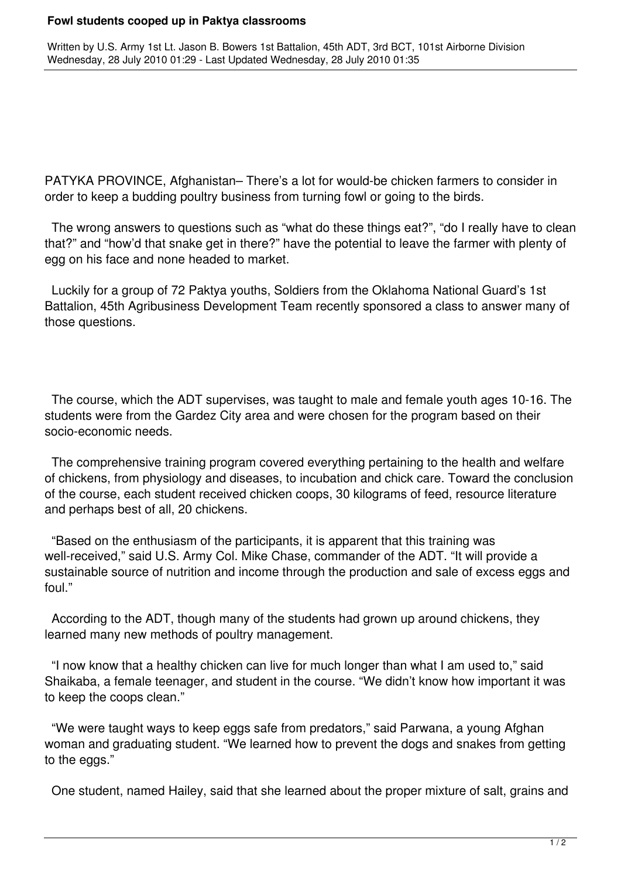## **Fowl students cooped up in Paktya classrooms**

Written by U.S. Army 1st Lt. Jason B. Bowers 1st Battalion, 45th ADT, 3rd BCT, 101st Airborne Division Wednesday, 28 July 2010 01:29 - Last Updated Wednesday, 28 July 2010 01:35

PATYKA PROVINCE, Afghanistan– There's a lot for would-be chicken farmers to consider in order to keep a budding poultry business from turning fowl or going to the birds.

 The wrong answers to questions such as "what do these things eat?", "do I really have to clean that?" and "how'd that snake get in there?" have the potential to leave the farmer with plenty of egg on his face and none headed to market.

 Luckily for a group of 72 Paktya youths, Soldiers from the Oklahoma National Guard's 1st Battalion, 45th Agribusiness Development Team recently sponsored a class to answer many of those questions.

 The course, which the ADT supervises, was taught to male and female youth ages 10-16. The students were from the Gardez City area and were chosen for the program based on their socio-economic needs.

 The comprehensive training program covered everything pertaining to the health and welfare of chickens, from physiology and diseases, to incubation and chick care. Toward the conclusion of the course, each student received chicken coops, 30 kilograms of feed, resource literature and perhaps best of all, 20 chickens.

 "Based on the enthusiasm of the participants, it is apparent that this training was well-received," said U.S. Army Col. Mike Chase, commander of the ADT. "It will provide a sustainable source of nutrition and income through the production and sale of excess eggs and foul."

 According to the ADT, though many of the students had grown up around chickens, they learned many new methods of poultry management.

 "I now know that a healthy chicken can live for much longer than what I am used to," said Shaikaba, a female teenager, and student in the course. "We didn't know how important it was to keep the coops clean."

 "We were taught ways to keep eggs safe from predators," said Parwana, a young Afghan woman and graduating student. "We learned how to prevent the dogs and snakes from getting to the eggs."

One student, named Hailey, said that she learned about the proper mixture of salt, grains and